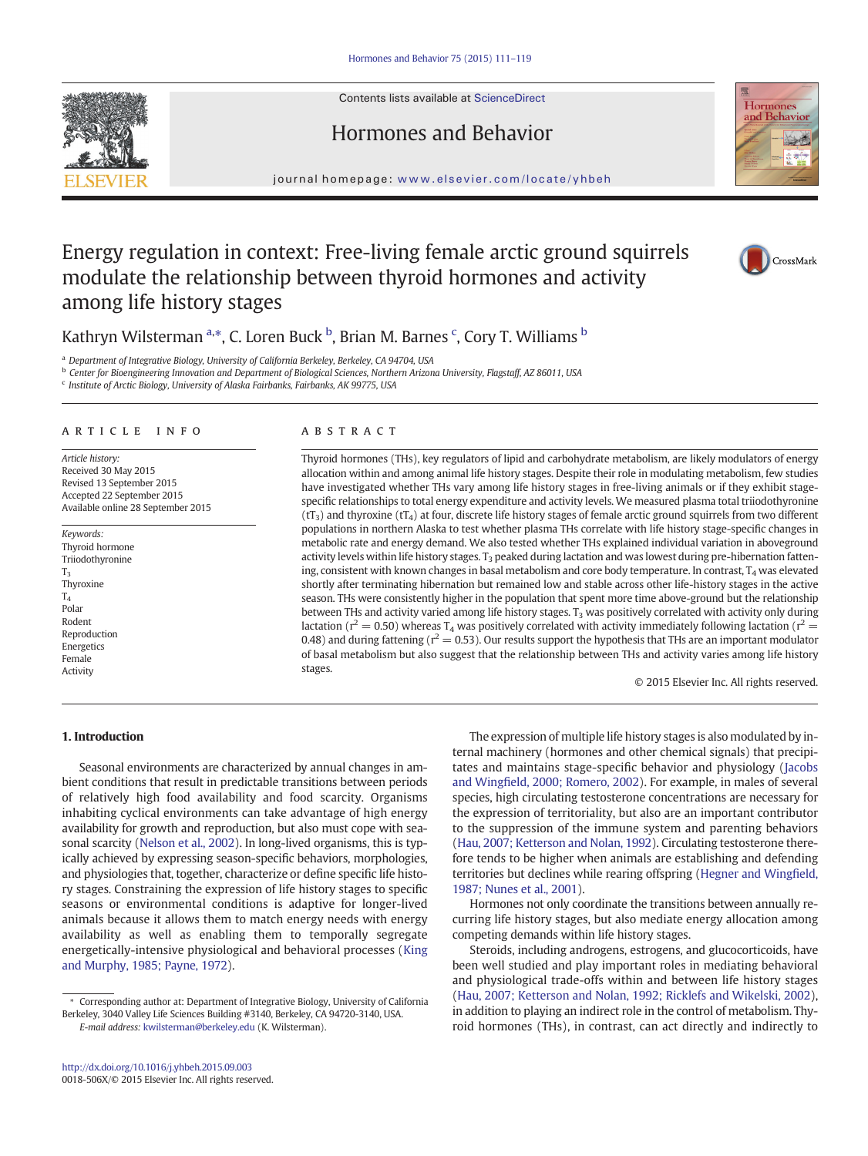Contents lists available at ScienceDirect







journal homepage: <www.elsevier.com/locate/yhbeh>

# Energy regulation in context: Free-living female arctic ground squirrels modulate the relationship between thyroid hormones and activity among life history stages



Kathryn Wilsterman <sup>a,\*</sup>, C. Loren Buck <sup>b</sup>, Brian M. Barnes <sup>c</sup>, Cory T. Williams <sup>b</sup>

<sup>a</sup> Department of Integrative Biology, University of California Berkeley, Berkeley, CA 94704, USA

b Center for Bioengineering Innovation and Department of Biological Sciences, Northern Arizona University, Flagstaff, AZ 86011, USA

<sup>c</sup> Institute of Arctic Biology, University of Alaska Fairbanks, Fairbanks, AK 99775, USA

#### article info abstract

Article history: Received 30 May 2015 Revised 13 September 2015 Accepted 22 September 2015 Available online 28 September 2015

Keywords: Thyroid hormone Triiodothyronine  $T<sub>2</sub>$ Thyroxine T4 Polar Rodent Reproduction Energetics Female Activity

Thyroid hormones (THs), key regulators of lipid and carbohydrate metabolism, are likely modulators of energy allocation within and among animal life history stages. Despite their role in modulating metabolism, few studies have investigated whether THs vary among life history stages in free-living animals or if they exhibit stagespecific relationships to total energy expenditure and activity levels. We measured plasma total triiodothyronine  $(tT_3)$  and thyroxine  $(tT_4)$  at four, discrete life history stages of female arctic ground squirrels from two different populations in northern Alaska to test whether plasma THs correlate with life history stage-specific changes in metabolic rate and energy demand. We also tested whether THs explained individual variation in aboveground activity levels within life history stages.  $T_3$  peaked during lactation and was lowest during pre-hibernation fattening, consistent with known changes in basal metabolism and core body temperature. In contrast,  $T_4$  was elevated shortly after terminating hibernation but remained low and stable across other life-history stages in the active season. THs were consistently higher in the population that spent more time above-ground but the relationship between THs and activity varied among life history stages.  $T_3$  was positively correlated with activity only during lactation ( $r^2 = 0.50$ ) whereas T<sub>4</sub> was positively correlated with activity immediately following lactation ( $r^2 =$ 0.48) and during fattening ( $r^2$  = 0.53). Our results support the hypothesis that THs are an important modulator of basal metabolism but also suggest that the relationship between THs and activity varies among life history stages.

© 2015 Elsevier Inc. All rights reserved.

# 1. Introduction

Seasonal environments are characterized by annual changes in ambient conditions that result in predictable transitions between periods of relatively high food availability and food scarcity. Organisms inhabiting cyclical environments can take advantage of high energy availability for growth and reproduction, but also must cope with seasonal scarcity ([Nelson et al., 2002\)](#page-7-0). In long-lived organisms, this is typically achieved by expressing season-specific behaviors, morphologies, and physiologies that, together, characterize or define specific life history stages. Constraining the expression of life history stages to specific seasons or environmental conditions is adaptive for longer-lived animals because it allows them to match energy needs with energy availability as well as enabling them to temporally segregate energetically-intensive physiological and behavioral processes ([King](#page-7-0) [and Murphy, 1985; Payne, 1972\)](#page-7-0).

The expression of multiple life history stages is also modulated by internal machinery (hormones and other chemical signals) that precipitates and maintains stage-specific behavior and physiology ([Jacobs](#page-7-0) and Wingfi[eld, 2000; Romero, 2002\)](#page-7-0). For example, in males of several species, high circulating testosterone concentrations are necessary for the expression of territoriality, but also are an important contributor to the suppression of the immune system and parenting behaviors [\(Hau, 2007; Ketterson and Nolan, 1992](#page-7-0)). Circulating testosterone therefore tends to be higher when animals are establishing and defending territories but declines while rearing offspring ([Hegner and Wing](#page-7-0)field, [1987; Nunes et al., 2001](#page-7-0)).

Hormones not only coordinate the transitions between annually recurring life history stages, but also mediate energy allocation among competing demands within life history stages.

Steroids, including androgens, estrogens, and glucocorticoids, have been well studied and play important roles in mediating behavioral and physiological trade-offs within and between life history stages [\(Hau, 2007; Ketterson and Nolan, 1992; Ricklefs and Wikelski, 2002](#page-7-0)), in addition to playing an indirect role in the control of metabolism. Thyroid hormones (THs), in contrast, can act directly and indirectly to

<sup>⁎</sup> Corresponding author at: Department of Integrative Biology, University of California Berkeley, 3040 Valley Life Sciences Building #3140, Berkeley, CA 94720-3140, USA. E-mail address: [kwilsterman@berkeley.edu](mailto:kwilsterman@berkeley.edu) (K. Wilsterman).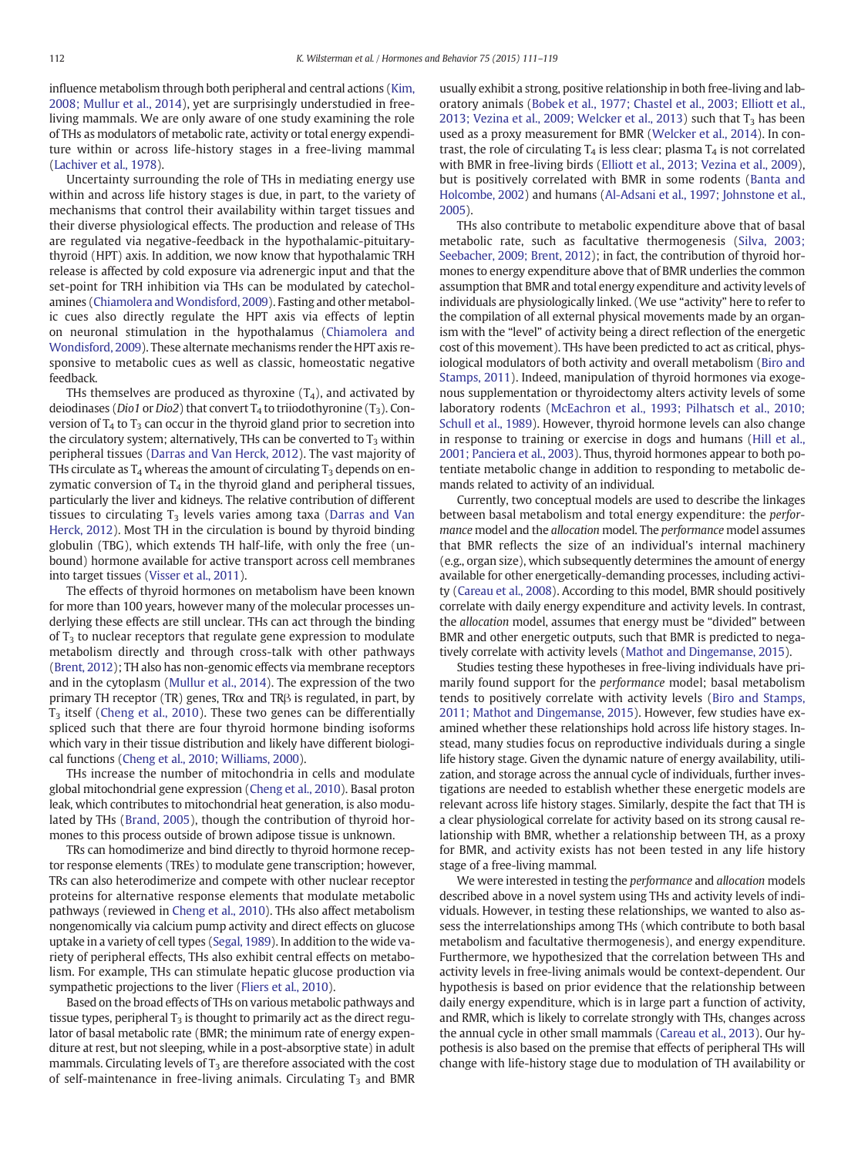influence metabolism through both peripheral and central actions [\(Kim,](#page-7-0) [2008; Mullur et al., 2014\)](#page-7-0), yet are surprisingly understudied in freeliving mammals. We are only aware of one study examining the role of THs as modulators of metabolic rate, activity or total energy expenditure within or across life-history stages in a free-living mammal [\(Lachiver et al., 1978\)](#page-7-0).

Uncertainty surrounding the role of THs in mediating energy use within and across life history stages is due, in part, to the variety of mechanisms that control their availability within target tissues and their diverse physiological effects. The production and release of THs are regulated via negative-feedback in the hypothalamic-pituitarythyroid (HPT) axis. In addition, we now know that hypothalamic TRH release is affected by cold exposure via adrenergic input and that the set-point for TRH inhibition via THs can be modulated by catecholamines [\(Chiamolera and Wondisford, 2009\)](#page-7-0). Fasting and other metabolic cues also directly regulate the HPT axis via effects of leptin on neuronal stimulation in the hypothalamus ([Chiamolera and](#page-7-0) [Wondisford, 2009\)](#page-7-0). These alternate mechanisms render the HPT axis responsive to metabolic cues as well as classic, homeostatic negative feedback.

THs themselves are produced as thyroxine  $(T_4)$ , and activated by deiodinases (Dio1 or Dio2) that convert  $T_4$  to triiodothyronine (T<sub>3</sub>). Conversion of  $T_4$  to  $T_3$  can occur in the thyroid gland prior to secretion into the circulatory system; alternatively, THs can be converted to  $T_3$  within peripheral tissues ([Darras and Van Herck, 2012\)](#page-7-0). The vast majority of THs circulate as  $T_4$  whereas the amount of circulating  $T_3$  depends on enzymatic conversion of  $T_4$  in the thyroid gland and peripheral tissues, particularly the liver and kidneys. The relative contribution of different tissues to circulating  $T_3$  levels varies among taxa [\(Darras and Van](#page-7-0) [Herck, 2012\)](#page-7-0). Most TH in the circulation is bound by thyroid binding globulin (TBG), which extends TH half-life, with only the free (unbound) hormone available for active transport across cell membranes into target tissues [\(Visser et al., 2011](#page-8-0)).

The effects of thyroid hormones on metabolism have been known for more than 100 years, however many of the molecular processes underlying these effects are still unclear. THs can act through the binding of  $T_3$  to nuclear receptors that regulate gene expression to modulate metabolism directly and through cross-talk with other pathways [\(Brent, 2012\)](#page-7-0); TH also has non-genomic effects via membrane receptors and in the cytoplasm [\(Mullur et al., 2014\)](#page-7-0). The expression of the two primary TH receptor (TR) genes, TR $\alpha$  and TR $\beta$  is regulated, in part, by T3 itself ([Cheng et al., 2010\)](#page-7-0). These two genes can be differentially spliced such that there are four thyroid hormone binding isoforms which vary in their tissue distribution and likely have different biological functions [\(Cheng et al., 2010; Williams, 2000](#page-7-0)).

THs increase the number of mitochondria in cells and modulate global mitochondrial gene expression [\(Cheng et al., 2010\)](#page-7-0). Basal proton leak, which contributes to mitochondrial heat generation, is also modulated by THs ([Brand, 2005](#page-7-0)), though the contribution of thyroid hormones to this process outside of brown adipose tissue is unknown.

TRs can homodimerize and bind directly to thyroid hormone receptor response elements (TREs) to modulate gene transcription; however, TRs can also heterodimerize and compete with other nuclear receptor proteins for alternative response elements that modulate metabolic pathways (reviewed in [Cheng et al., 2010\)](#page-7-0). THs also affect metabolism nongenomically via calcium pump activity and direct effects on glucose uptake in a variety of cell types [\(Segal, 1989\)](#page-7-0). In addition to the wide variety of peripheral effects, THs also exhibit central effects on metabolism. For example, THs can stimulate hepatic glucose production via sympathetic projections to the liver ([Fliers et al., 2010](#page-7-0)).

Based on the broad effects of THs on various metabolic pathways and tissue types, peripheral  $T_3$  is thought to primarily act as the direct regulator of basal metabolic rate (BMR; the minimum rate of energy expenditure at rest, but not sleeping, while in a post-absorptive state) in adult mammals. Circulating levels of  $T_3$  are therefore associated with the cost of self-maintenance in free-living animals. Circulating  $T_3$  and BMR usually exhibit a strong, positive relationship in both free-living and laboratory animals [\(Bobek et al., 1977; Chastel et al., 2003; Elliott et al.,](#page-7-0) [2013; Vezina et al., 2009; Welcker et al., 2013\)](#page-7-0) such that  $T_3$  has been used as a proxy measurement for BMR ([Welcker et al., 2014\)](#page-8-0). In contrast, the role of circulating  $T_4$  is less clear; plasma  $T_4$  is not correlated with BMR in free-living birds ([Elliott et al., 2013; Vezina et al., 2009](#page-7-0)), but is positively correlated with BMR in some rodents ([Banta and](#page-7-0) [Holcombe, 2002\)](#page-7-0) and humans [\(Al-Adsani et al., 1997; Johnstone et al.,](#page-7-0) [2005\)](#page-7-0).

THs also contribute to metabolic expenditure above that of basal metabolic rate, such as facultative thermogenesis ([Silva, 2003;](#page-8-0) [Seebacher, 2009; Brent, 2012\)](#page-8-0); in fact, the contribution of thyroid hormones to energy expenditure above that of BMR underlies the common assumption that BMR and total energy expenditure and activity levels of individuals are physiologically linked. (We use "activity" here to refer to the compilation of all external physical movements made by an organism with the "level" of activity being a direct reflection of the energetic cost of this movement). THs have been predicted to act as critical, physiological modulators of both activity and overall metabolism ([Biro and](#page-7-0) [Stamps, 2011\)](#page-7-0). Indeed, manipulation of thyroid hormones via exogenous supplementation or thyroidectomy alters activity levels of some laboratory rodents [\(McEachron et al., 1993; Pilhatsch et al., 2010;](#page-7-0) [Schull et al., 1989](#page-7-0)). However, thyroid hormone levels can also change in response to training or exercise in dogs and humans ([Hill et al.,](#page-7-0) [2001; Panciera et al., 2003\)](#page-7-0). Thus, thyroid hormones appear to both potentiate metabolic change in addition to responding to metabolic demands related to activity of an individual.

Currently, two conceptual models are used to describe the linkages between basal metabolism and total energy expenditure: the performance model and the allocation model. The performance model assumes that BMR reflects the size of an individual's internal machinery (e.g., organ size), which subsequently determines the amount of energy available for other energetically-demanding processes, including activity [\(Careau et al., 2008\)](#page-7-0). According to this model, BMR should positively correlate with daily energy expenditure and activity levels. In contrast, the allocation model, assumes that energy must be "divided" between BMR and other energetic outputs, such that BMR is predicted to negatively correlate with activity levels [\(Mathot and Dingemanse, 2015\)](#page-7-0).

Studies testing these hypotheses in free-living individuals have primarily found support for the performance model; basal metabolism tends to positively correlate with activity levels ([Biro and Stamps,](#page-7-0) [2011; Mathot and Dingemanse, 2015\)](#page-7-0). However, few studies have examined whether these relationships hold across life history stages. Instead, many studies focus on reproductive individuals during a single life history stage. Given the dynamic nature of energy availability, utilization, and storage across the annual cycle of individuals, further investigations are needed to establish whether these energetic models are relevant across life history stages. Similarly, despite the fact that TH is a clear physiological correlate for activity based on its strong causal relationship with BMR, whether a relationship between TH, as a proxy for BMR, and activity exists has not been tested in any life history stage of a free-living mammal.

We were interested in testing the performance and allocation models described above in a novel system using THs and activity levels of individuals. However, in testing these relationships, we wanted to also assess the interrelationships among THs (which contribute to both basal metabolism and facultative thermogenesis), and energy expenditure. Furthermore, we hypothesized that the correlation between THs and activity levels in free-living animals would be context-dependent. Our hypothesis is based on prior evidence that the relationship between daily energy expenditure, which is in large part a function of activity, and RMR, which is likely to correlate strongly with THs, changes across the annual cycle in other small mammals [\(Careau et al., 2013](#page-7-0)). Our hypothesis is also based on the premise that effects of peripheral THs will change with life-history stage due to modulation of TH availability or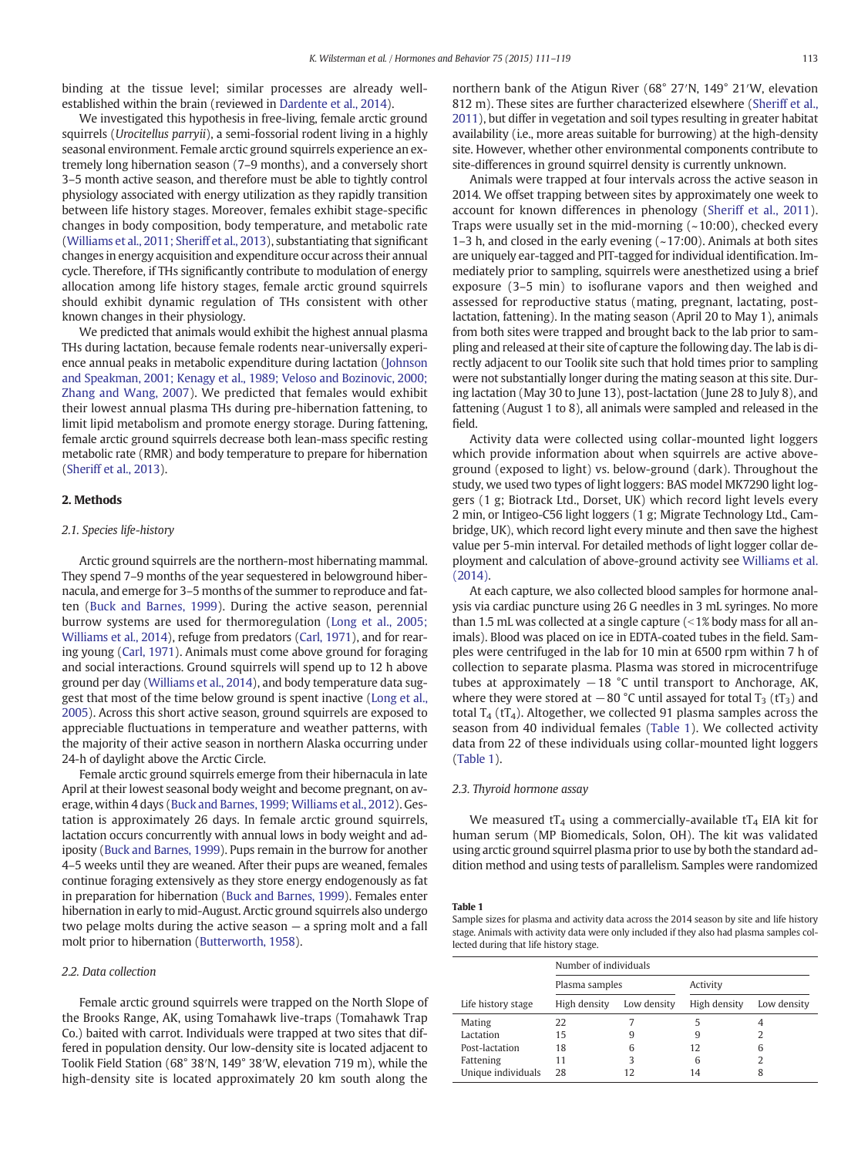binding at the tissue level; similar processes are already wellestablished within the brain (reviewed in [Dardente et al., 2014](#page-7-0)).

We investigated this hypothesis in free-living, female arctic ground squirrels (Urocitellus parryii), a semi-fossorial rodent living in a highly seasonal environment. Female arctic ground squirrels experience an extremely long hibernation season (7–9 months), and a conversely short 3–5 month active season, and therefore must be able to tightly control physiology associated with energy utilization as they rapidly transition between life history stages. Moreover, females exhibit stage-specific changes in body composition, body temperature, and metabolic rate [\(Williams et al., 2011; Sheriff et al., 2013\)](#page-8-0), substantiating that significant changes in energy acquisition and expenditure occur across their annual cycle. Therefore, if THs significantly contribute to modulation of energy allocation among life history stages, female arctic ground squirrels should exhibit dynamic regulation of THs consistent with other known changes in their physiology.

We predicted that animals would exhibit the highest annual plasma THs during lactation, because female rodents near-universally experience annual peaks in metabolic expenditure during lactation ([Johnson](#page-7-0) [and Speakman, 2001; Kenagy et al., 1989; Veloso and Bozinovic, 2000;](#page-7-0) [Zhang and Wang, 2007](#page-7-0)). We predicted that females would exhibit their lowest annual plasma THs during pre-hibernation fattening, to limit lipid metabolism and promote energy storage. During fattening, female arctic ground squirrels decrease both lean-mass specific resting metabolic rate (RMR) and body temperature to prepare for hibernation [\(Sheriff et al., 2013\)](#page-8-0).

## 2. Methods

#### 2.1. Species life-history

Arctic ground squirrels are the northern-most hibernating mammal. They spend 7–9 months of the year sequestered in belowground hibernacula, and emerge for 3–5 months of the summer to reproduce and fatten ([Buck and Barnes, 1999](#page-7-0)). During the active season, perennial burrow systems are used for thermoregulation [\(Long et al., 2005;](#page-7-0) [Williams et al., 2014\)](#page-7-0), refuge from predators ([Carl, 1971](#page-7-0)), and for rearing young ([Carl, 1971\)](#page-7-0). Animals must come above ground for foraging and social interactions. Ground squirrels will spend up to 12 h above ground per day ([Williams et al., 2014](#page-8-0)), and body temperature data suggest that most of the time below ground is spent inactive ([Long et al.,](#page-7-0) [2005](#page-7-0)). Across this short active season, ground squirrels are exposed to appreciable fluctuations in temperature and weather patterns, with the majority of their active season in northern Alaska occurring under 24-h of daylight above the Arctic Circle.

Female arctic ground squirrels emerge from their hibernacula in late April at their lowest seasonal body weight and become pregnant, on average, within 4 days [\(Buck and Barnes, 1999; Williams et al., 2012\)](#page-7-0). Gestation is approximately 26 days. In female arctic ground squirrels, lactation occurs concurrently with annual lows in body weight and adiposity ([Buck and Barnes, 1999\)](#page-7-0). Pups remain in the burrow for another 4–5 weeks until they are weaned. After their pups are weaned, females continue foraging extensively as they store energy endogenously as fat in preparation for hibernation [\(Buck and Barnes, 1999](#page-7-0)). Females enter hibernation in early to mid-August. Arctic ground squirrels also undergo two pelage molts during the active season — a spring molt and a fall molt prior to hibernation [\(Butterworth, 1958](#page-7-0)).

## 2.2. Data collection

Female arctic ground squirrels were trapped on the North Slope of the Brooks Range, AK, using Tomahawk live-traps (Tomahawk Trap Co.) baited with carrot. Individuals were trapped at two sites that differed in population density. Our low-density site is located adjacent to Toolik Field Station (68° 38′N, 149° 38′W, elevation 719 m), while the high-density site is located approximately 20 km south along the

northern bank of the Atigun River (68° 27′N, 149° 21′W, elevation 812 m). These sites are further characterized elsewhere ([Sheriff et al.,](#page-7-0) [2011](#page-7-0)), but differ in vegetation and soil types resulting in greater habitat availability (i.e., more areas suitable for burrowing) at the high-density site. However, whether other environmental components contribute to site-differences in ground squirrel density is currently unknown.

Animals were trapped at four intervals across the active season in 2014. We offset trapping between sites by approximately one week to account for known differences in phenology ([Sheriff et al., 2011](#page-7-0)). Traps were usually set in the mid-morning  $(-10:00)$ , checked every 1–3 h, and closed in the early evening  $(-17:00)$ . Animals at both sites are uniquely ear-tagged and PIT-tagged for individual identification. Immediately prior to sampling, squirrels were anesthetized using a brief exposure (3–5 min) to isoflurane vapors and then weighed and assessed for reproductive status (mating, pregnant, lactating, postlactation, fattening). In the mating season (April 20 to May 1), animals from both sites were trapped and brought back to the lab prior to sampling and released at their site of capture the following day. The lab is directly adjacent to our Toolik site such that hold times prior to sampling were not substantially longer during the mating season at this site. During lactation (May 30 to June 13), post-lactation (June 28 to July 8), and fattening (August 1 to 8), all animals were sampled and released in the field.

Activity data were collected using collar-mounted light loggers which provide information about when squirrels are active aboveground (exposed to light) vs. below-ground (dark). Throughout the study, we used two types of light loggers: BAS model MK7290 light loggers (1 g; Biotrack Ltd., Dorset, UK) which record light levels every 2 min, or Intigeo-C56 light loggers (1 g; Migrate Technology Ltd., Cambridge, UK), which record light every minute and then save the highest value per 5-min interval. For detailed methods of light logger collar deployment and calculation of above-ground activity see [Williams et al.](#page-8-0) [\(2014\)](#page-8-0).

At each capture, we also collected blood samples for hormone analysis via cardiac puncture using 26 G needles in 3 mL syringes. No more than 1.5 mL was collected at a single capture  $\left($  < 1% body mass for all animals). Blood was placed on ice in EDTA-coated tubes in the field. Samples were centrifuged in the lab for 10 min at 6500 rpm within 7 h of collection to separate plasma. Plasma was stored in microcentrifuge tubes at approximately  $-18$  °C until transport to Anchorage, AK, where they were stored at  $-80$  °C until assayed for total T<sub>3</sub> (tT<sub>3</sub>) and total  $T_4$  (t $T_4$ ). Altogether, we collected 91 plasma samples across the season from 40 individual females (Table 1). We collected activity data from 22 of these individuals using collar-mounted light loggers (Table 1).

#### 2.3. Thyroid hormone assay

We measured  $tT_4$  using a commercially-available  $tT_4$  EIA kit for human serum (MP Biomedicals, Solon, OH). The kit was validated using arctic ground squirrel plasma prior to use by both the standard addition method and using tests of parallelism. Samples were randomized

#### Table 1

Sample sizes for plasma and activity data across the 2014 season by site and life history stage. Animals with activity data were only included if they also had plasma samples collected during that life history stage.

|                    | Number of individuals |             |              |             |  |  |  |
|--------------------|-----------------------|-------------|--------------|-------------|--|--|--|
|                    | Plasma samples        |             | Activity     |             |  |  |  |
| Life history stage | High density          | Low density | High density | Low density |  |  |  |
| Mating             | 22                    |             |              |             |  |  |  |
| Lactation          | 15                    |             | 9            | 2           |  |  |  |
| Post-lactation     | 18                    | 6           | 12           | 6           |  |  |  |
| Fattening          | 11                    |             | 6            |             |  |  |  |
| Unique individuals | 28                    | 12          | 14           |             |  |  |  |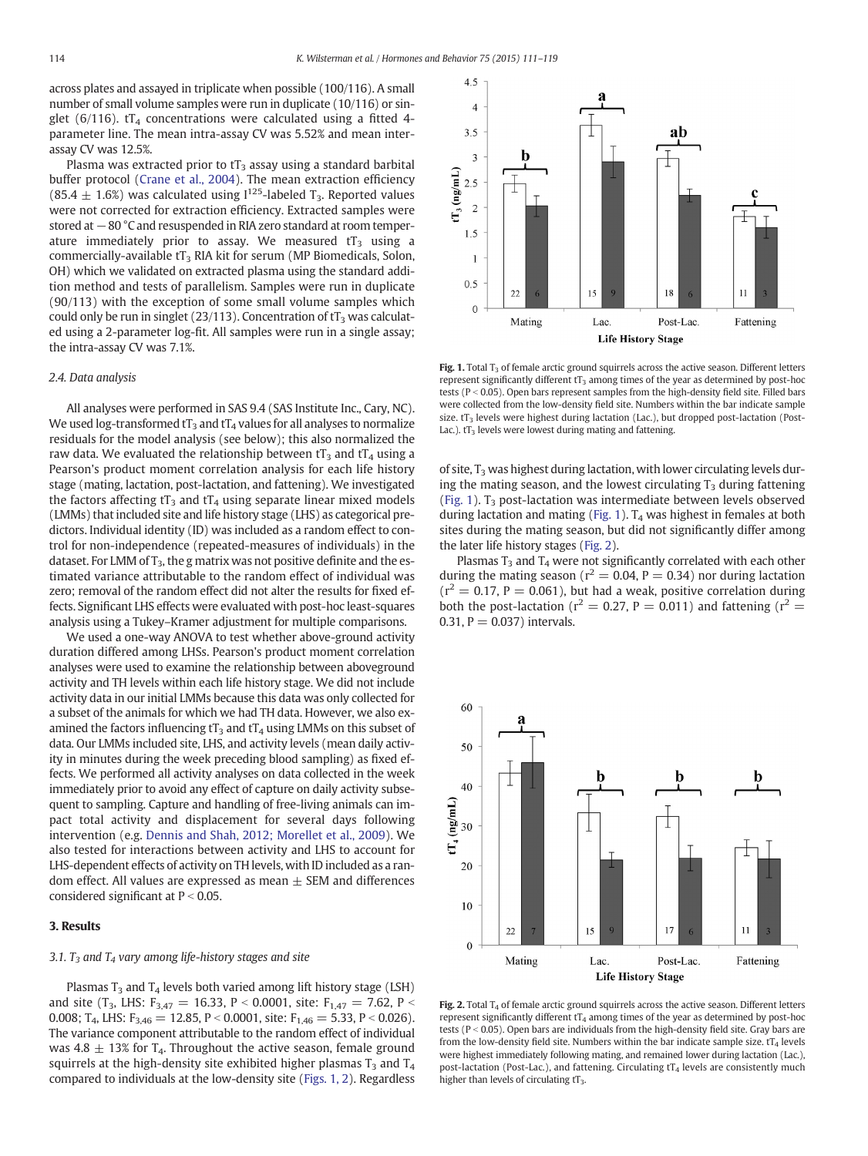across plates and assayed in triplicate when possible (100/116). A small number of small volume samples were run in duplicate (10/116) or singlet (6/116).  $tT_4$  concentrations were calculated using a fitted 4parameter line. The mean intra-assay CV was 5.52% and mean interassay CV was 12.5%.

Plasma was extracted prior to  $tT_3$  assay using a standard barbital buffer protocol ([Crane et al., 2004](#page-7-0)). The mean extraction efficiency (85.4  $\pm$  1.6%) was calculated using  $1^{125}$ -labeled T<sub>3</sub>. Reported values were not corrected for extraction efficiency. Extracted samples were stored at −80 °C and resuspended in RIA zero standard at room temperature immediately prior to assay. We measured  $tT_3$  using a commercially-available  $tT_3$  RIA kit for serum (MP Biomedicals, Solon, OH) which we validated on extracted plasma using the standard addition method and tests of parallelism. Samples were run in duplicate (90/113) with the exception of some small volume samples which could only be run in singlet (23/113). Concentration of  $tT_3$  was calculated using a 2-parameter log-fit. All samples were run in a single assay; the intra-assay CV was 7.1%.

## 2.4. Data analysis

All analyses were performed in SAS 9.4 (SAS Institute Inc., Cary, NC). We used log-transformed  $tT_3$  and  $tT_4$  values for all analyses to normalize residuals for the model analysis (see below); this also normalized the raw data. We evaluated the relationship between  $tT_3$  and  $tT_4$  using a Pearson's product moment correlation analysis for each life history stage (mating, lactation, post-lactation, and fattening). We investigated the factors affecting  $tT_3$  and  $tT_4$  using separate linear mixed models (LMMs) that included site and life history stage (LHS) as categorical predictors. Individual identity (ID) was included as a random effect to control for non-independence (repeated-measures of individuals) in the dataset. For LMM of  $T_3$ , the g matrix was not positive definite and the estimated variance attributable to the random effect of individual was zero; removal of the random effect did not alter the results for fixed effects. Significant LHS effects were evaluated with post-hoc least-squares analysis using a Tukey–Kramer adjustment for multiple comparisons.

We used a one-way ANOVA to test whether above-ground activity duration differed among LHSs. Pearson's product moment correlation analyses were used to examine the relationship between aboveground activity and TH levels within each life history stage. We did not include activity data in our initial LMMs because this data was only collected for a subset of the animals for which we had TH data. However, we also examined the factors influencing  $tT_3$  and  $tT_4$  using LMMs on this subset of data. Our LMMs included site, LHS, and activity levels (mean daily activity in minutes during the week preceding blood sampling) as fixed effects. We performed all activity analyses on data collected in the week immediately prior to avoid any effect of capture on daily activity subsequent to sampling. Capture and handling of free-living animals can impact total activity and displacement for several days following intervention (e.g. [Dennis and Shah, 2012; Morellet et al., 2009\)](#page-7-0). We also tested for interactions between activity and LHS to account for LHS-dependent effects of activity on TH levels, with ID included as a random effect. All values are expressed as mean  $\pm$  SEM and differences considered significant at  $P < 0.05$ .

# 3. Results

#### 3.1.  $T_3$  and  $T_4$  vary among life-history stages and site

Plasmas  $T_3$  and  $T_4$  levels both varied among lift history stage (LSH) and site (T<sub>3</sub>, LHS: F<sub>3,47</sub> = 16.33, P < 0.0001, site: F<sub>1,47</sub> = 7.62, P < 0.008; T<sub>4</sub>, LHS:  $F_{3,46} = 12.85$ , P < 0.0001, site:  $F_{1,46} = 5.33$ , P < 0.026). The variance component attributable to the random effect of individual was 4.8  $\pm$  13% for T<sub>4</sub>. Throughout the active season, female ground squirrels at the high-density site exhibited higher plasmas  $T_3$  and  $T_4$ compared to individuals at the low-density site (Figs. 1, 2). Regardless



Fig. 1. Total  $T_3$  of female arctic ground squirrels across the active season. Different letters represent significantly different  $tT_3$  among times of the year as determined by post-hoc tests ( $P < 0.05$ ). Open bars represent samples from the high-density field site. Filled bars were collected from the low-density field site. Numbers within the bar indicate sample size.  $tT_3$  levels were highest during lactation (Lac.), but dropped post-lactation (Post-Lac.).  $tT_3$  levels were lowest during mating and fattening.

of site,  $T_3$  was highest during lactation, with lower circulating levels during the mating season, and the lowest circulating  $T_3$  during fattening (Fig. 1).  $T_3$  post-lactation was intermediate between levels observed during lactation and mating (Fig. 1).  $T_4$  was highest in females at both sites during the mating season, but did not significantly differ among the later life history stages (Fig. 2).

Plasmas  $T_3$  and  $T_4$  were not significantly correlated with each other during the mating season ( $r^2 = 0.04$ , P = 0.34) nor during lactation  $(r^2 = 0.17, P = 0.061)$ , but had a weak, positive correlation during both the post-lactation ( $r^2 = 0.27$ , P = 0.011) and fattening ( $r^2 =$ 0.31,  $P = 0.037$  intervals.



Fig. 2. Total  $T_4$  of female arctic ground squirrels across the active season. Different letters represent significantly different  $tT_4$  among times of the year as determined by post-hoc tests ( $P < 0.05$ ). Open bars are individuals from the high-density field site. Gray bars are from the low-density field site. Numbers within the bar indicate sample size.  $tT_4$  levels were highest immediately following mating, and remained lower during lactation (Lac.), post-lactation (Post-Lac.), and fattening. Circulating  $tT_4$  levels are consistently much higher than levels of circulating  $tT<sub>3</sub>$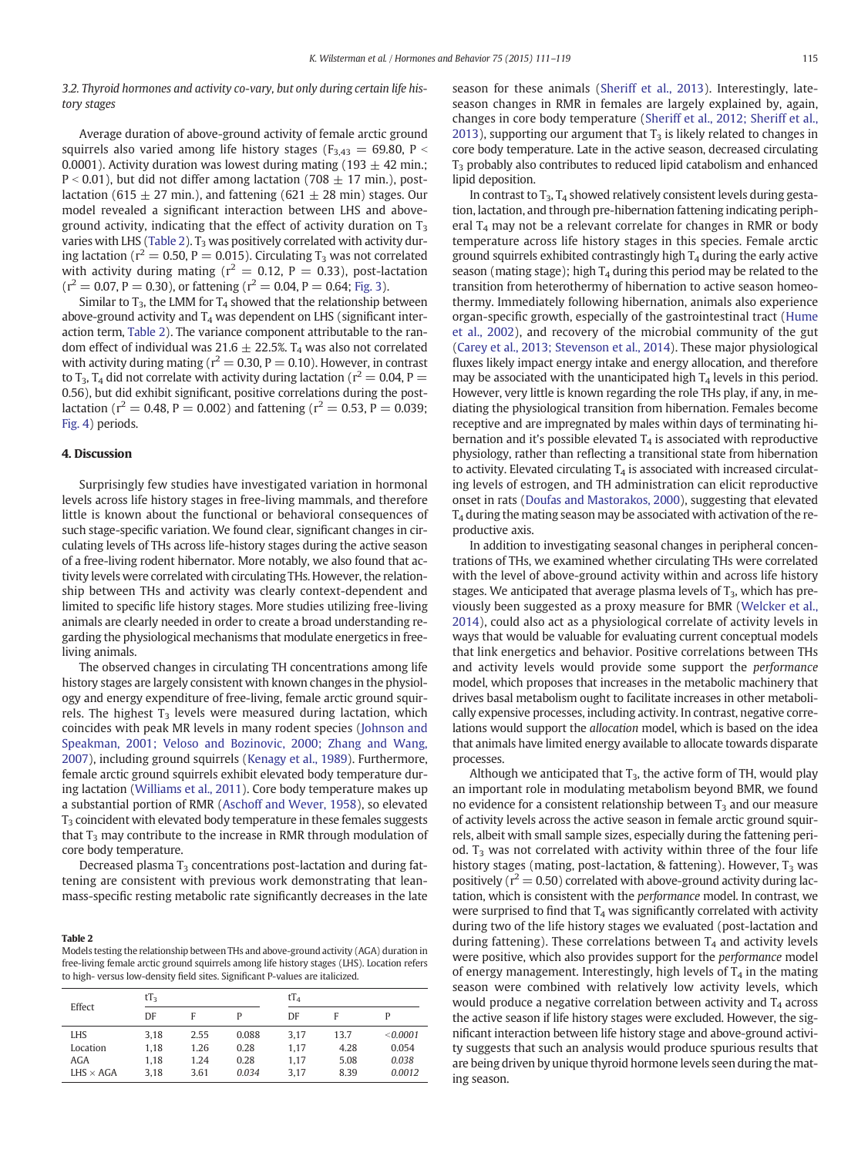# 3.2. Thyroid hormones and activity co-vary, but only during certain life history stages

Average duration of above-ground activity of female arctic ground squirrels also varied among life history stages ( $F_{3,43} = 69.80$ , P < 0.0001). Activity duration was lowest during mating (193  $\pm$  42 min.;  $P < 0.01$ ), but did not differ among lactation (708  $\pm$  17 min.), postlactation (615  $\pm$  27 min.), and fattening (621  $\pm$  28 min) stages. Our model revealed a significant interaction between LHS and aboveground activity, indicating that the effect of activity duration on  $T_3$ varies with LHS (Table 2).  $T_3$  was positively correlated with activity during lactation ( $r^2 = 0.50$ , P = 0.015). Circulating  $T_3$  was not correlated with activity during mating ( $r^2 = 0.12$ ,  $P = 0.33$ ), post-lactation  $(r^2 = 0.07, P = 0.30)$ , or fattening  $(r^2 = 0.04, P = 0.64;$  [Fig. 3](#page-5-0)).

Similar to  $T_3$ , the LMM for  $T_4$  showed that the relationship between above-ground activity and  $T_4$  was dependent on LHS (significant interaction term, Table 2). The variance component attributable to the random effect of individual was 21.6  $\pm$  22.5%. T<sub>4</sub> was also not correlated with activity during mating ( $r^2 = 0.30$ ,  $P = 0.10$ ). However, in contrast to T<sub>3</sub>, T<sub>4</sub> did not correlate with activity during lactation ( $r^2 = 0.04$ , P = 0.56), but did exhibit significant, positive correlations during the postlactation ( $r^2 = 0.48$ , P = 0.002) and fattening ( $r^2 = 0.53$ , P = 0.039; [Fig. 4](#page-5-0)) periods.

#### 4. Discussion

Surprisingly few studies have investigated variation in hormonal levels across life history stages in free-living mammals, and therefore little is known about the functional or behavioral consequences of such stage-specific variation. We found clear, significant changes in circulating levels of THs across life-history stages during the active season of a free-living rodent hibernator. More notably, we also found that activity levels were correlated with circulating THs. However, the relationship between THs and activity was clearly context-dependent and limited to specific life history stages. More studies utilizing free-living animals are clearly needed in order to create a broad understanding regarding the physiological mechanisms that modulate energetics in freeliving animals.

The observed changes in circulating TH concentrations among life history stages are largely consistent with known changes in the physiology and energy expenditure of free-living, female arctic ground squirrels. The highest  $T_3$  levels were measured during lactation, which coincides with peak MR levels in many rodent species ([Johnson and](#page-7-0) [Speakman, 2001; Veloso and Bozinovic, 2000; Zhang and Wang,](#page-7-0) [2007\)](#page-7-0), including ground squirrels ([Kenagy et al., 1989](#page-7-0)). Furthermore, female arctic ground squirrels exhibit elevated body temperature during lactation ([Williams et al., 2011\)](#page-8-0). Core body temperature makes up a substantial portion of RMR ([Aschoff and Wever, 1958\)](#page-7-0), so elevated  $T<sub>3</sub>$  coincident with elevated body temperature in these females suggests that  $T_3$  may contribute to the increase in RMR through modulation of core body temperature.

Decreased plasma  $T_3$  concentrations post-lactation and during fattening are consistent with previous work demonstrating that leanmass-specific resting metabolic rate significantly decreases in the late

#### Table 2

Models testing the relationship between THs and above-ground activity (AGA) duration in free-living female arctic ground squirrels among life history stages (LHS). Location refers to high- versus low-density field sites. Significant P-values are italicized.

| Effect           | $tT_3$ |      |       |      | $tT_4$ |          |  |
|------------------|--------|------|-------|------|--------|----------|--|
|                  | DF     | F    | P     | DF   | F      |          |  |
| LHS              | 3.18   | 2.55 | 0.088 | 3.17 | 13.7   | < 0.0001 |  |
| Location         | 1.18   | 1.26 | 0.28  | 1.17 | 4.28   | 0.054    |  |
| AGA              | 1.18   | 1.24 | 0.28  | 1.17 | 5.08   | 0.038    |  |
| $LHS \times AGA$ | 3.18   | 3.61 | 0.034 | 3.17 | 8.39   | 0.0012   |  |

season for these animals [\(Sheriff et al., 2013](#page-8-0)). Interestingly, lateseason changes in RMR in females are largely explained by, again, changes in core body temperature [\(Sheriff et al., 2012; Sheriff et al.,](#page-7-0) [2013\)](#page-7-0), supporting our argument that  $T_3$  is likely related to changes in core body temperature. Late in the active season, decreased circulating  $T<sub>3</sub>$  probably also contributes to reduced lipid catabolism and enhanced lipid deposition.

In contrast to  $T_3$ ,  $T_4$  showed relatively consistent levels during gestation, lactation, and through pre-hibernation fattening indicating peripheral  $T_4$  may not be a relevant correlate for changes in RMR or body temperature across life history stages in this species. Female arctic ground squirrels exhibited contrastingly high  $T_4$  during the early active season (mating stage); high  $T_4$  during this period may be related to the transition from heterothermy of hibernation to active season homeothermy. Immediately following hibernation, animals also experience organ-specific growth, especially of the gastrointestinal tract [\(Hume](#page-7-0) [et al., 2002\)](#page-7-0), and recovery of the microbial community of the gut [\(Carey et al., 2013; Stevenson et al., 2014\)](#page-7-0). These major physiological fluxes likely impact energy intake and energy allocation, and therefore may be associated with the unanticipated high  $T_4$  levels in this period. However, very little is known regarding the role THs play, if any, in mediating the physiological transition from hibernation. Females become receptive and are impregnated by males within days of terminating hibernation and it's possible elevated  $T_4$  is associated with reproductive physiology, rather than reflecting a transitional state from hibernation to activity. Elevated circulating  $T_4$  is associated with increased circulating levels of estrogen, and TH administration can elicit reproductive onset in rats ([Doufas and Mastorakos, 2000\)](#page-7-0), suggesting that elevated  $T_4$  during the mating season may be associated with activation of the reproductive axis.

In addition to investigating seasonal changes in peripheral concentrations of THs, we examined whether circulating THs were correlated with the level of above-ground activity within and across life history stages. We anticipated that average plasma levels of  $T_3$ , which has previously been suggested as a proxy measure for BMR ([Welcker et al.,](#page-8-0) [2014\)](#page-8-0), could also act as a physiological correlate of activity levels in ways that would be valuable for evaluating current conceptual models that link energetics and behavior. Positive correlations between THs and activity levels would provide some support the performance model, which proposes that increases in the metabolic machinery that drives basal metabolism ought to facilitate increases in other metabolically expensive processes, including activity. In contrast, negative correlations would support the allocation model, which is based on the idea that animals have limited energy available to allocate towards disparate processes.

Although we anticipated that  $T_3$ , the active form of TH, would play an important role in modulating metabolism beyond BMR, we found no evidence for a consistent relationship between  $T_3$  and our measure of activity levels across the active season in female arctic ground squirrels, albeit with small sample sizes, especially during the fattening period.  $T_3$  was not correlated with activity within three of the four life history stages (mating, post-lactation, & fattening). However,  $T_3$  was positively ( $r^2 = 0.50$ ) correlated with above-ground activity during lactation, which is consistent with the performance model. In contrast, we were surprised to find that  $T_4$  was significantly correlated with activity during two of the life history stages we evaluated (post-lactation and during fattening). These correlations between  $T_4$  and activity levels were positive, which also provides support for the performance model of energy management. Interestingly, high levels of  $T_4$  in the mating season were combined with relatively low activity levels, which would produce a negative correlation between activity and  $T_4$  across the active season if life history stages were excluded. However, the significant interaction between life history stage and above-ground activity suggests that such an analysis would produce spurious results that are being driven by unique thyroid hormone levels seen during the mating season.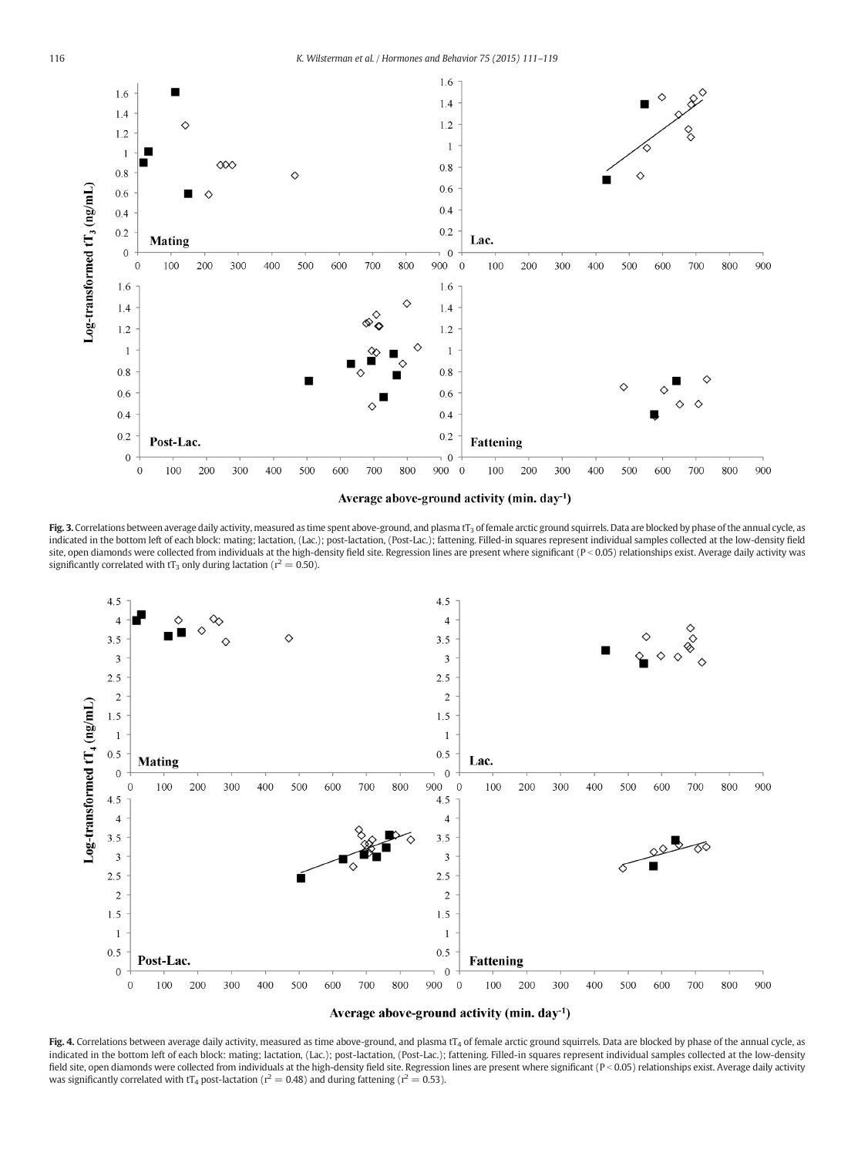<span id="page-5-0"></span>

Average above-ground activity (min. day<sup>-1</sup>)

Fig. 3. Correlations between average daily activity, measured as time spent above-ground, and plasma tT<sub>3</sub> of female arctic ground squirrels. Data are blocked by phase of the annual cycle, as indicated in the bottom left of each block: mating; lactation, (Lac.); post-lactation, (Post-Lac.); fattening. Filled-in squares represent individual samples collected at the low-density field site, open diamonds were collected from individuals at the high-density field site. Regression lines are present where significant (P < 0.05) relationships exist. Average daily activity was significantly correlated with  $tT_3$  only during lactation ( $r^2 = 0.50$ ).





Fig. 4. Correlations between average daily activity, measured as time above-ground, and plasma tT<sub>4</sub> of female arctic ground squirrels. Data are blocked by phase of the annual cycle, as indicated in the bottom left of each block: mating; lactation, (Lac.); post-lactation, (Post-Lac.); fattening. Filled-in squares represent individual samples collected at the low-density field site, open diamonds were collected from individuals at the high-density field site. Regression lines are present where significant (P < 0.05) relationships exist. Average daily activity was significantly correlated with  $tT_4$  post-lactation ( $r^2 = 0.48$ ) and during fattening ( $r^2 = 0.53$ ).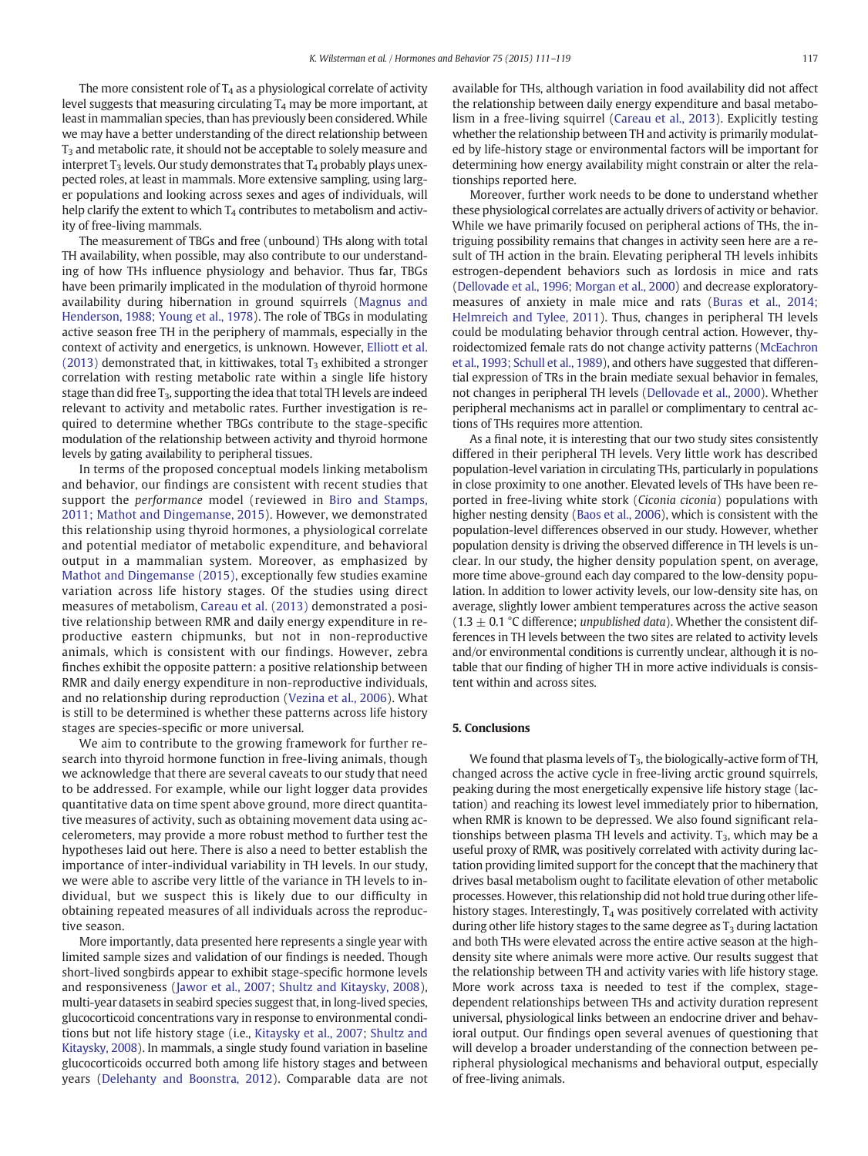The more consistent role of  $T_4$  as a physiological correlate of activity level suggests that measuring circulating  $T_4$  may be more important, at least in mammalian species, than has previously been considered. While we may have a better understanding of the direct relationship between T<sub>3</sub> and metabolic rate, it should not be acceptable to solely measure and interpret  $T_3$  levels. Our study demonstrates that  $T_4$  probably plays unexpected roles, at least in mammals. More extensive sampling, using larger populations and looking across sexes and ages of individuals, will help clarify the extent to which  $T_4$  contributes to metabolism and activity of free-living mammals.

The measurement of TBGs and free (unbound) THs along with total TH availability, when possible, may also contribute to our understanding of how THs influence physiology and behavior. Thus far, TBGs have been primarily implicated in the modulation of thyroid hormone availability during hibernation in ground squirrels [\(Magnus and](#page-7-0) [Henderson, 1988; Young et al., 1978\)](#page-7-0). The role of TBGs in modulating active season free TH in the periphery of mammals, especially in the context of activity and energetics, is unknown. However, [Elliott et al.](#page-7-0) [\(2013\)](#page-7-0) demonstrated that, in kittiwakes, total  $T_3$  exhibited a stronger correlation with resting metabolic rate within a single life history stage than did free  $T_3$ , supporting the idea that total TH levels are indeed relevant to activity and metabolic rates. Further investigation is required to determine whether TBGs contribute to the stage-specific modulation of the relationship between activity and thyroid hormone levels by gating availability to peripheral tissues.

In terms of the proposed conceptual models linking metabolism and behavior, our findings are consistent with recent studies that support the performance model (reviewed in [Biro and Stamps,](#page-7-0) [2011; Mathot and Dingemanse, 2015\)](#page-7-0). However, we demonstrated this relationship using thyroid hormones, a physiological correlate and potential mediator of metabolic expenditure, and behavioral output in a mammalian system. Moreover, as emphasized by [Mathot and Dingemanse \(2015\)](#page-7-0), exceptionally few studies examine variation across life history stages. Of the studies using direct measures of metabolism, [Careau et al. \(2013\)](#page-7-0) demonstrated a positive relationship between RMR and daily energy expenditure in reproductive eastern chipmunks, but not in non-reproductive animals, which is consistent with our findings. However, zebra finches exhibit the opposite pattern: a positive relationship between RMR and daily energy expenditure in non-reproductive individuals, and no relationship during reproduction ([Vezina et al., 2006\)](#page-8-0). What is still to be determined is whether these patterns across life history stages are species-specific or more universal.

We aim to contribute to the growing framework for further research into thyroid hormone function in free-living animals, though we acknowledge that there are several caveats to our study that need to be addressed. For example, while our light logger data provides quantitative data on time spent above ground, more direct quantitative measures of activity, such as obtaining movement data using accelerometers, may provide a more robust method to further test the hypotheses laid out here. There is also a need to better establish the importance of inter-individual variability in TH levels. In our study, we were able to ascribe very little of the variance in TH levels to individual, but we suspect this is likely due to our difficulty in obtaining repeated measures of all individuals across the reproductive season.

More importantly, data presented here represents a single year with limited sample sizes and validation of our findings is needed. Though short-lived songbirds appear to exhibit stage-specific hormone levels and responsiveness ([Jawor et al., 2007; Shultz and Kitaysky, 2008](#page-7-0)), multi-year datasets in seabird species suggest that, in long-lived species, glucocorticoid concentrations vary in response to environmental conditions but not life history stage (i.e., [Kitaysky et al., 2007; Shultz and](#page-7-0) [Kitaysky, 2008](#page-7-0)). In mammals, a single study found variation in baseline glucocorticoids occurred both among life history stages and between years ([Delehanty and Boonstra, 2012](#page-7-0)). Comparable data are not available for THs, although variation in food availability did not affect the relationship between daily energy expenditure and basal metabolism in a free-living squirrel ([Careau et al., 2013](#page-7-0)). Explicitly testing whether the relationship between TH and activity is primarily modulated by life-history stage or environmental factors will be important for determining how energy availability might constrain or alter the relationships reported here.

Moreover, further work needs to be done to understand whether these physiological correlates are actually drivers of activity or behavior. While we have primarily focused on peripheral actions of THs, the intriguing possibility remains that changes in activity seen here are a result of TH action in the brain. Elevating peripheral TH levels inhibits estrogen-dependent behaviors such as lordosis in mice and rats [\(Dellovade et al., 1996; Morgan et al., 2000](#page-7-0)) and decrease exploratorymeasures of anxiety in male mice and rats [\(Buras et al., 2014;](#page-7-0) [Helmreich and Tylee, 2011\)](#page-7-0). Thus, changes in peripheral TH levels could be modulating behavior through central action. However, thyroidectomized female rats do not change activity patterns ([McEachron](#page-7-0) [et al., 1993; Schull et al., 1989](#page-7-0)), and others have suggested that differential expression of TRs in the brain mediate sexual behavior in females, not changes in peripheral TH levels [\(Dellovade et al., 2000\)](#page-7-0). Whether peripheral mechanisms act in parallel or complimentary to central actions of THs requires more attention.

As a final note, it is interesting that our two study sites consistently differed in their peripheral TH levels. Very little work has described population-level variation in circulating THs, particularly in populations in close proximity to one another. Elevated levels of THs have been reported in free-living white stork (Ciconia ciconia) populations with higher nesting density [\(Baos et al., 2006](#page-7-0)), which is consistent with the population-level differences observed in our study. However, whether population density is driving the observed difference in TH levels is unclear. In our study, the higher density population spent, on average, more time above-ground each day compared to the low-density population. In addition to lower activity levels, our low-density site has, on average, slightly lower ambient temperatures across the active season (1.3  $\pm$  0.1 °C difference; unpublished data). Whether the consistent differences in TH levels between the two sites are related to activity levels and/or environmental conditions is currently unclear, although it is notable that our finding of higher TH in more active individuals is consistent within and across sites.

#### 5. Conclusions

We found that plasma levels of  $T_3$ , the biologically-active form of TH, changed across the active cycle in free-living arctic ground squirrels, peaking during the most energetically expensive life history stage (lactation) and reaching its lowest level immediately prior to hibernation, when RMR is known to be depressed. We also found significant relationships between plasma TH levels and activity.  $T_3$ , which may be a useful proxy of RMR, was positively correlated with activity during lactation providing limited support for the concept that the machinery that drives basal metabolism ought to facilitate elevation of other metabolic processes. However, this relationship did not hold true during other lifehistory stages. Interestingly,  $T_4$  was positively correlated with activity during other life history stages to the same degree as  $T_3$  during lactation and both THs were elevated across the entire active season at the highdensity site where animals were more active. Our results suggest that the relationship between TH and activity varies with life history stage. More work across taxa is needed to test if the complex, stagedependent relationships between THs and activity duration represent universal, physiological links between an endocrine driver and behavioral output. Our findings open several avenues of questioning that will develop a broader understanding of the connection between peripheral physiological mechanisms and behavioral output, especially of free-living animals.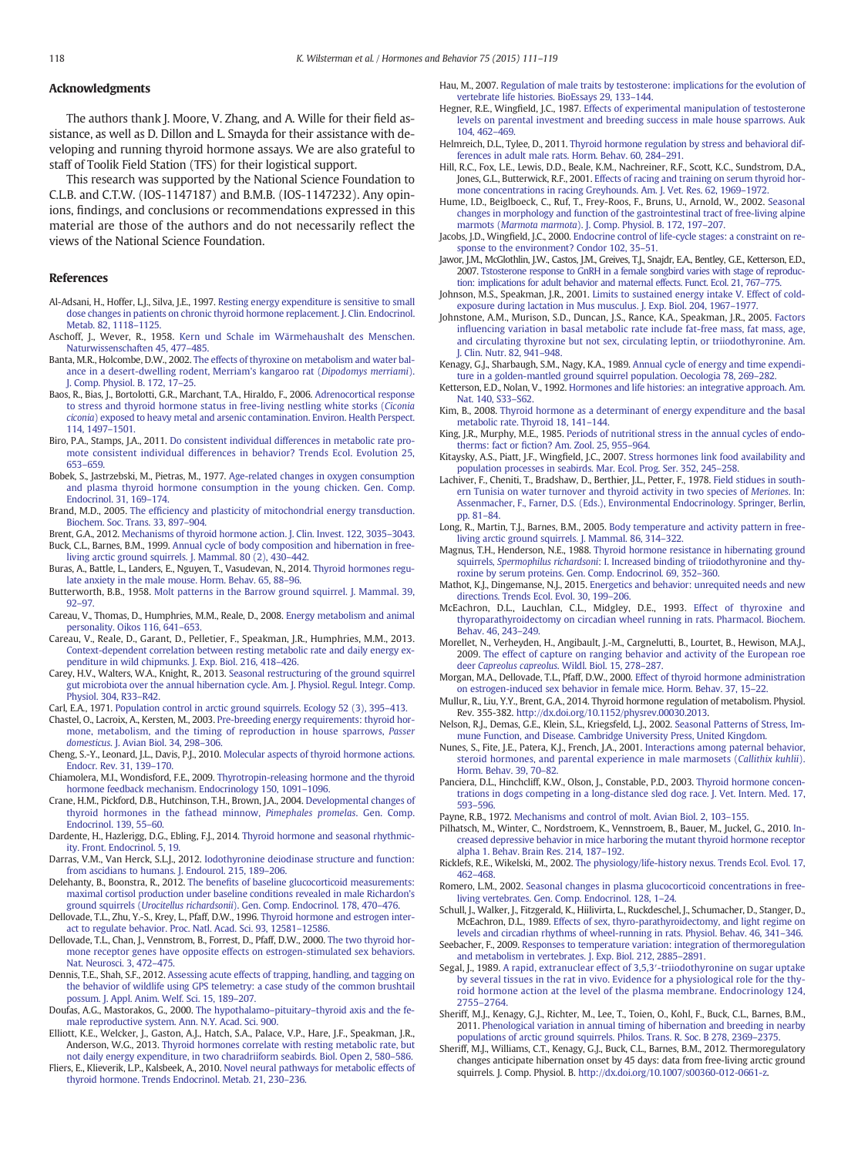# <span id="page-7-0"></span>Acknowledgments

The authors thank J. Moore, V. Zhang, and A. Wille for their field assistance, as well as D. Dillon and L. Smayda for their assistance with developing and running thyroid hormone assays. We are also grateful to staff of Toolik Field Station (TFS) for their logistical support.

This research was supported by the National Science Foundation to C.L.B. and C.T.W. (IOS-1147187) and B.M.B. (IOS-1147232). Any opinions, findings, and conclusions or recommendations expressed in this material are those of the authors and do not necessarily reflect the views of the National Science Foundation.

#### References

- Al-Adsani, H., Hoffer, L.J., Silva, J.E., 1997. [Resting energy expenditure is sensitive to small](http://refhub.elsevier.com/S0018-506X(15)30070-2/rf0005) [dose changes in patients on chronic thyroid hormone replacement. J. Clin. Endocrinol.](http://refhub.elsevier.com/S0018-506X(15)30070-2/rf0005) [Metab. 82, 1118](http://refhub.elsevier.com/S0018-506X(15)30070-2/rf0005)–1125.
- Aschoff, J., Wever, R., 1958. [Kern und Schale im Wärmehaushalt des Menschen.](http://refhub.elsevier.com/S0018-506X(15)30070-2/rf0010) [Naturwissenschaften 45, 477](http://refhub.elsevier.com/S0018-506X(15)30070-2/rf0010)–485.
- Banta, M.R., Holcombe, D.W., 2002. [The effects of thyroxine on metabolism and water bal](http://refhub.elsevier.com/S0018-506X(15)30070-2/rf0015)[ance in a desert-dwelling rodent, Merriam's kangaroo rat \(](http://refhub.elsevier.com/S0018-506X(15)30070-2/rf0015)Dipodomys merriami). [J. Comp. Physiol. B. 172, 17](http://refhub.elsevier.com/S0018-506X(15)30070-2/rf0015)–25.
- Baos, R., Bias, J., Bortolotti, G.R., Marchant, T.A., Hiraldo, F., 2006. [Adrenocortical response](http://refhub.elsevier.com/S0018-506X(15)30070-2/rf0020) [to stress and thyroid hormone status in free-living nestling white storks \(](http://refhub.elsevier.com/S0018-506X(15)30070-2/rf0020)Ciconia ciconia[\) exposed to heavy metal and arsenic contamination. Environ. Health Perspect.](http://refhub.elsevier.com/S0018-506X(15)30070-2/rf0020) [114, 1497](http://refhub.elsevier.com/S0018-506X(15)30070-2/rf0020)–1501.
- Biro, P.A., Stamps, J.A., 2011. [Do consistent individual differences in metabolic rate pro](http://refhub.elsevier.com/S0018-506X(15)30070-2/rf0025)[mote consistent individual differences in behavior? Trends Ecol. Evolution 25,](http://refhub.elsevier.com/S0018-506X(15)30070-2/rf0025) 653–[659.](http://refhub.elsevier.com/S0018-506X(15)30070-2/rf0025)
- Bobek, S., Jastrzebski, M., Pietras, M., 1977. [Age-related changes in oxygen consumption](http://refhub.elsevier.com/S0018-506X(15)30070-2/rf0030) [and plasma thyroid hormone consumption in the young chicken. Gen. Comp.](http://refhub.elsevier.com/S0018-506X(15)30070-2/rf0030) [Endocrinol. 31, 169](http://refhub.elsevier.com/S0018-506X(15)30070-2/rf0030)–174.
- Brand, M.D., 2005. The effi[ciency and plasticity of mitochondrial energy transduction.](http://refhub.elsevier.com/S0018-506X(15)30070-2/rf0035) [Biochem. Soc. Trans. 33, 897](http://refhub.elsevier.com/S0018-506X(15)30070-2/rf0035)–904.
- Brent, G.A., 2012. [Mechanisms of thyroid hormone action. J. Clin. Invest. 122, 3035](http://refhub.elsevier.com/S0018-506X(15)30070-2/rf0040)–3043. Buck, C.L., Barnes, B.M., 1999. [Annual cycle of body composition and hibernation in free-](http://refhub.elsevier.com/S0018-506X(15)30070-2/rf0045)
- [living arctic ground squirrels. J. Mammal. 80 \(2\), 430](http://refhub.elsevier.com/S0018-506X(15)30070-2/rf0045)–442. Buras, A., Battle, L., Landers, E., Nguyen, T., Vasudevan, N., 2014. [Thyroid hormones regu-](http://refhub.elsevier.com/S0018-506X(15)30070-2/rf0050)
- [late anxiety in the male mouse. Horm. Behav. 65, 88](http://refhub.elsevier.com/S0018-506X(15)30070-2/rf0050)–96. Butterworth, B.B., 1958. [Molt patterns in the Barrow ground squirrel. J. Mammal. 39,](http://refhub.elsevier.com/S0018-506X(15)30070-2/rf0055)
- [92](http://refhub.elsevier.com/S0018-506X(15)30070-2/rf0055)–97.
- Careau, V., Thomas, D., Humphries, M.M., Reale, D., 2008. [Energy metabolism and animal](http://refhub.elsevier.com/S0018-506X(15)30070-2/rf0060) [personality. Oikos 116, 641](http://refhub.elsevier.com/S0018-506X(15)30070-2/rf0060)–653.
- Careau, V., Reale, D., Garant, D., Pelletier, F., Speakman, J.R., Humphries, M.M., 2013. [Context-dependent correlation between resting metabolic rate and daily energy ex](http://refhub.elsevier.com/S0018-506X(15)30070-2/rf0065)[penditure in wild chipmunks. J. Exp. Biol. 216, 418](http://refhub.elsevier.com/S0018-506X(15)30070-2/rf0065)–426.
- Carey, H.V., Walters, W.A., Knight, R., 2013. [Seasonal restructuring of the ground squirrel](http://refhub.elsevier.com/S0018-506X(15)30070-2/rf0070) [gut microbiota over the annual hibernation cycle. Am. J. Physiol. Regul. Integr. Comp.](http://refhub.elsevier.com/S0018-506X(15)30070-2/rf0070) [Physiol. 304, R33](http://refhub.elsevier.com/S0018-506X(15)30070-2/rf0070)–R42.
- Carl, E.A., 1971. [Population control in arctic ground squirrels. Ecology 52 \(3\), 395](http://refhub.elsevier.com/S0018-506X(15)30070-2/rf0075)–413.
- Chastel, O., Lacroix, A., Kersten, M., 2003. [Pre-breeding energy requirements: thyroid hor](http://refhub.elsevier.com/S0018-506X(15)30070-2/rf0080)[mone, metabolism, and the timing of reproduction in house sparrows,](http://refhub.elsevier.com/S0018-506X(15)30070-2/rf0080) Passer domesticus[. J. Avian Biol. 34, 298](http://refhub.elsevier.com/S0018-506X(15)30070-2/rf0080)–306.
- Cheng, S.-Y., Leonard, J.L., Davis, P.J., 2010. [Molecular aspects of thyroid hormone actions.](http://refhub.elsevier.com/S0018-506X(15)30070-2/rf0085) [Endocr. Rev. 31, 139](http://refhub.elsevier.com/S0018-506X(15)30070-2/rf0085)–170.
- Chiamolera, M.I., Wondisford, F.E., 2009. [Thyrotropin-releasing hormone and the thyroid](http://refhub.elsevier.com/S0018-506X(15)30070-2/rf0090) [hormone feedback mechanism. Endocrinology 150, 1091](http://refhub.elsevier.com/S0018-506X(15)30070-2/rf0090)–1096.
- Crane, H.M., Pickford, D.B., Hutchinson, T.H., Brown, J.A., 2004. [Developmental changes of](http://refhub.elsevier.com/S0018-506X(15)30070-2/rf0095) [thyroid hormones in the fathead minnow,](http://refhub.elsevier.com/S0018-506X(15)30070-2/rf0095) Pimephales promelas. Gen. Comp. [Endocrinol. 139, 55](http://refhub.elsevier.com/S0018-506X(15)30070-2/rf0095)–60.
- Dardente, H., Hazlerigg, D.G., Ebling, F.J., 2014. [Thyroid hormone and seasonal rhythmic](http://refhub.elsevier.com/S0018-506X(15)30070-2/rf0100)[ity. Front. Endocrinol. 5, 19](http://refhub.elsevier.com/S0018-506X(15)30070-2/rf0100).
- Darras, V.M., Van Herck, S.L.J., 2012. [Iodothyronine deiodinase structure and function:](http://refhub.elsevier.com/S0018-506X(15)30070-2/rf0105) [from ascidians to humans. J. Endourol. 215, 189](http://refhub.elsevier.com/S0018-506X(15)30070-2/rf0105)–206.
- Delehanty, B., Boonstra, R., 2012. The benefi[ts of baseline glucocorticoid measurements:](http://refhub.elsevier.com/S0018-506X(15)30070-2/rf0110) [maximal cortisol production under baseline conditions revealed in male Richardon](http://refhub.elsevier.com/S0018-506X(15)30070-2/rf0110)'s ground squirrels (Urocitellus richardsonii[\). Gen. Comp. Endocrinol. 178, 470](http://refhub.elsevier.com/S0018-506X(15)30070-2/rf0110)–476.
- Dellovade, T.L., Zhu, Y.-S., Krey, L., Pfaff, D.W., 1996. [Thyroid hormone and estrogen inter](http://refhub.elsevier.com/S0018-506X(15)30070-2/rf0115)[act to regulate behavior. Proc. Natl. Acad. Sci. 93, 12581](http://refhub.elsevier.com/S0018-506X(15)30070-2/rf0115)–12586.
- Dellovade, T.L., Chan, J., Vennstrom, B., Forrest, D., Pfaff, D.W., 2000. [The two thyroid hor](http://refhub.elsevier.com/S0018-506X(15)30070-2/rf0120)[mone receptor genes have opposite effects on estrogen-stimulated sex behaviors.](http://refhub.elsevier.com/S0018-506X(15)30070-2/rf0120) [Nat. Neurosci. 3, 472](http://refhub.elsevier.com/S0018-506X(15)30070-2/rf0120)–475.
- Dennis, T.E., Shah, S.F., 2012. [Assessing acute effects of trapping, handling, and tagging on](http://refhub.elsevier.com/S0018-506X(15)30070-2/rf0125) [the behavior of wildlife using GPS telemetry: a case study of the common brushtail](http://refhub.elsevier.com/S0018-506X(15)30070-2/rf0125) [possum. J. Appl. Anim. Welf. Sci. 15, 189](http://refhub.elsevier.com/S0018-506X(15)30070-2/rf0125)–207.
- Doufas, A.G., Mastorakos, G., 2000. The hypothalamo–pituitary–[thyroid axis and the fe](http://refhub.elsevier.com/S0018-506X(15)30070-2/rf0130)[male reproductive system. Ann. N.Y. Acad. Sci. 900.](http://refhub.elsevier.com/S0018-506X(15)30070-2/rf0130)
- Elliott, K.E., Welcker, J., Gaston, A.J., Hatch, S.A., Palace, V.P., Hare, J.F., Speakman, J.R., Anderson, W.G., 2013. [Thyroid hormones correlate with resting metabolic rate, but](http://refhub.elsevier.com/S0018-506X(15)30070-2/rf0135) [not daily energy expenditure, in two charadriiform seabirds. Biol. Open 2, 580](http://refhub.elsevier.com/S0018-506X(15)30070-2/rf0135)–586.
- Fliers, E., Klieverik, L.P., Kalsbeek, A., 2010. [Novel neural pathways for metabolic effects of](http://refhub.elsevier.com/S0018-506X(15)30070-2/rf0140) [thyroid hormone. Trends Endocrinol. Metab. 21, 230](http://refhub.elsevier.com/S0018-506X(15)30070-2/rf0140)–236.
- Hau, M., 2007. [Regulation of male traits by testosterone: implications for the evolution of](http://refhub.elsevier.com/S0018-506X(15)30070-2/rf0145) [vertebrate life histories. BioEssays 29, 133](http://refhub.elsevier.com/S0018-506X(15)30070-2/rf0145)–144.
- Hegner, R.E., Wingfield, J.C., 1987. [Effects of experimental manipulation of testosterone](http://refhub.elsevier.com/S0018-506X(15)30070-2/rf0150) [levels on parental investment and breeding success in male house sparrows. Auk](http://refhub.elsevier.com/S0018-506X(15)30070-2/rf0150) [104, 462](http://refhub.elsevier.com/S0018-506X(15)30070-2/rf0150)–469.
- Helmreich, D.L., Tylee, D., 2011. [Thyroid hormone regulation by stress and behavioral dif](http://refhub.elsevier.com/S0018-506X(15)30070-2/rf0155)[ferences in adult male rats. Horm. Behav. 60, 284](http://refhub.elsevier.com/S0018-506X(15)30070-2/rf0155)–291.
- Hill, R.C., Fox, L.E., Lewis, D.D., Beale, K.M., Nachreiner, R.F., Scott, K.C., Sundstrom, D.A., Jones, G.L., Butterwick, R.F., 2001. [Effects of racing and training on serum thyroid hor](http://refhub.elsevier.com/S0018-506X(15)30070-2/rf0160)[mone concentrations in racing Greyhounds. Am. J. Vet. Res. 62, 1969](http://refhub.elsevier.com/S0018-506X(15)30070-2/rf0160)–1972.
- Hume, I.D., Beiglboeck, C., Ruf, T., Frey-Roos, F., Bruns, U., Arnold, W., 2002. [Seasonal](http://refhub.elsevier.com/S0018-506X(15)30070-2/rf0165) [changes in morphology and function of the gastrointestinal tract of free-living alpine](http://refhub.elsevier.com/S0018-506X(15)30070-2/rf0165) marmots (Marmota marmota[\). J. Comp. Physiol. B. 172, 197](http://refhub.elsevier.com/S0018-506X(15)30070-2/rf0165)–207.
- Jacobs, J.D., Wingfield, J.C., 2000. [Endocrine control of life-cycle stages: a constraint on re](http://refhub.elsevier.com/S0018-506X(15)30070-2/rf0170)[sponse to the environment? Condor 102, 35](http://refhub.elsevier.com/S0018-506X(15)30070-2/rf0170)–51.
- Jawor, J.M., McGlothlin, J.W., Castos, J.M., Greives, T.J., Snajdr, E.A., Bentley, G.E., Ketterson, E.D., 2007. [Tstosterone response to GnRH in a female songbird varies with stage of reproduc](http://refhub.elsevier.com/S0018-506X(15)30070-2/rf0175)[tion: implications for adult behavior and maternal effects. Funct. Ecol. 21, 767](http://refhub.elsevier.com/S0018-506X(15)30070-2/rf0175)–775.
- Johnson, M.S., Speakman, J.R., 2001. [Limits to sustained energy intake V. Effect of cold](http://refhub.elsevier.com/S0018-506X(15)30070-2/rf0180)[exposure during lactation in Mus musculus. J. Exp. Biol. 204, 1967](http://refhub.elsevier.com/S0018-506X(15)30070-2/rf0180)–1977.
- Johnstone, A.M., Murison, S.D., Duncan, J.S., Rance, K.A., Speakman, J.R., 2005. [Factors](http://refhub.elsevier.com/S0018-506X(15)30070-2/rf0185) infl[uencing variation in basal metabolic rate include fat-free mass, fat mass, age,](http://refhub.elsevier.com/S0018-506X(15)30070-2/rf0185) [and circulating thyroxine but not sex, circulating leptin, or triiodothyronine. Am.](http://refhub.elsevier.com/S0018-506X(15)30070-2/rf0185) [J. Clin. Nutr. 82, 941](http://refhub.elsevier.com/S0018-506X(15)30070-2/rf0185)–948.
- Kenagy, G.J., Sharbaugh, S.M., Nagy, K.A., 1989. [Annual cycle of energy and time expendi](http://refhub.elsevier.com/S0018-506X(15)30070-2/rf0190)[ture in a golden-mantled ground squirrel population. Oecologia 78, 269](http://refhub.elsevier.com/S0018-506X(15)30070-2/rf0190)–282.
- Ketterson, E.D., Nolan, V., 1992. [Hormones and life histories: an integrative approach. Am.](http://refhub.elsevier.com/S0018-506X(15)30070-2/rf0195) [Nat. 140, S33](http://refhub.elsevier.com/S0018-506X(15)30070-2/rf0195)–S62.
- Kim, B., 2008. [Thyroid hormone as a determinant of energy expenditure and the basal](http://refhub.elsevier.com/S0018-506X(15)30070-2/rf0200) [metabolic rate. Thyroid 18, 141](http://refhub.elsevier.com/S0018-506X(15)30070-2/rf0200)–144.
- King, J.R., Murphy, M.E., 1985. [Periods of nutritional stress in the annual cycles of endo](http://refhub.elsevier.com/S0018-506X(15)30070-2/rf0205)therms: fact or fi[ction? Am. Zool. 25, 955](http://refhub.elsevier.com/S0018-506X(15)30070-2/rf0205)–964.
- Kitaysky, A.S., Piatt, J.F., Wingfield, J.C., 2007. [Stress hormones link food availability and](http://refhub.elsevier.com/S0018-506X(15)30070-2/rf0210) [population processes in seabirds. Mar. Ecol. Prog. Ser. 352, 245](http://refhub.elsevier.com/S0018-506X(15)30070-2/rf0210)–258.
- Lachiver, F., Cheniti, T., Bradshaw, D., Berthier, J.L., Petter, F., 1978. [Field stidues in south](http://refhub.elsevier.com/S0018-506X(15)30070-2/rf0215)[ern Tunisia on water turnover and thyroid activity in two species of](http://refhub.elsevier.com/S0018-506X(15)30070-2/rf0215) Meriones. In: [Assenmacher, F., Farner, D.S. \(Eds.\), Environmental Endocrinology. Springer, Berlin,](http://refhub.elsevier.com/S0018-506X(15)30070-2/rf0215) [pp. 81](http://refhub.elsevier.com/S0018-506X(15)30070-2/rf0215)–84.
- Long, R., Martin, T.J., Barnes, B.M., 2005. [Body temperature and activity pattern in free](http://refhub.elsevier.com/S0018-506X(15)30070-2/rf0220)[living arctic ground squirrels. J. Mammal. 86, 314](http://refhub.elsevier.com/S0018-506X(15)30070-2/rf0220)–322.
- Magnus, T.H., Henderson, N.E., 1988. [Thyroid hormone resistance in hibernating ground](http://refhub.elsevier.com/S0018-506X(15)30070-2/rf0225) squirrels, Spermophilus richardsoni[: I. Increased binding of triiodothyronine and thy](http://refhub.elsevier.com/S0018-506X(15)30070-2/rf0225)[roxine by serum proteins. Gen. Comp. Endocrinol. 69, 352](http://refhub.elsevier.com/S0018-506X(15)30070-2/rf0225)–360.
- Mathot, K.J., Dingemanse, N.J., 2015. [Energetics and behavior: unrequited needs and new](http://refhub.elsevier.com/S0018-506X(15)30070-2/rf0230) [directions. Trends Ecol. Evol. 30, 199](http://refhub.elsevier.com/S0018-506X(15)30070-2/rf0230)–206.
- McEachron, D.L., Lauchlan, C.L., Midgley, D.E., 1993. [Effect of thyroxine and](http://refhub.elsevier.com/S0018-506X(15)30070-2/rf0235) [thyroparathyroidectomy on circadian wheel running in rats. Pharmacol. Biochem.](http://refhub.elsevier.com/S0018-506X(15)30070-2/rf0235) [Behav. 46, 243](http://refhub.elsevier.com/S0018-506X(15)30070-2/rf0235)–249.
- Morellet, N., Verheyden, H., Angibault, J.-M., Cargnelutti, B., Lourtet, B., Hewison, M.A.J., 2009. [The effect of capture on ranging behavior and activity of the European roe](http://refhub.elsevier.com/S0018-506X(15)30070-2/rf0240) deer Capreolus capreolus[. Wildl. Biol. 15, 278](http://refhub.elsevier.com/S0018-506X(15)30070-2/rf0240)–287.
- Morgan, M.A., Dellovade, T.L., Pfaff, D.W., 2000. [Effect of thyroid hormone administration](http://refhub.elsevier.com/S0018-506X(15)30070-2/rf0245) [on estrogen-induced sex behavior in female mice. Horm. Behav. 37, 15](http://refhub.elsevier.com/S0018-506X(15)30070-2/rf0245)–22.
- Mullur, R., Liu, Y.Y., Brent, G.A., 2014. Thyroid hormone regulation of metabolism. Physiol. Rev. 355-382. http://dx.doi.org[/10.1152/physrev.00030.2013](http://dx.doi.org/10.1152/physrev.00030.2013).
- Nelson, R.J., Demas, G.E., Klein, S.L., Kriegsfeld, L.J., 2002. [Seasonal Patterns of Stress, Im](http://refhub.elsevier.com/S0018-506X(15)30070-2/rf0255)[mune Function, and Disease. Cambridge University Press, United Kingdom](http://refhub.elsevier.com/S0018-506X(15)30070-2/rf0255).
- Nunes, S., Fite, J.E., Patera, K.J., French, J.A., 2001. [Interactions among paternal behavior,](http://refhub.elsevier.com/S0018-506X(15)30070-2/rf0260) [steroid hormones, and parental experience in male marmosets \(](http://refhub.elsevier.com/S0018-506X(15)30070-2/rf0260)Callithix kuhlii). [Horm. Behav. 39, 70](http://refhub.elsevier.com/S0018-506X(15)30070-2/rf0260)–82.
- Panciera, D.L., Hinchcliff, K.W., Olson, J., Constable, P.D., 2003. [Thyroid hormone concen](http://refhub.elsevier.com/S0018-506X(15)30070-2/rf0265)[trations in dogs competing in a long-distance sled dog race. J. Vet. Intern. Med. 17,](http://refhub.elsevier.com/S0018-506X(15)30070-2/rf0265) 593–[596.](http://refhub.elsevier.com/S0018-506X(15)30070-2/rf0265)
- Payne, R.B., 1972. [Mechanisms and control of molt. Avian Biol. 2, 103](http://refhub.elsevier.com/S0018-506X(15)30070-2/rf0270)–155.
- Pilhatsch, M., Winter, C., Nordstroem, K., Vennstroem, B., Bauer, M., Juckel, G., 2010. [In](http://refhub.elsevier.com/S0018-506X(15)30070-2/rf0275)[creased depressive behavior in mice harboring the mutant thyroid hormone receptor](http://refhub.elsevier.com/S0018-506X(15)30070-2/rf0275) [alpha 1. Behav. Brain Res. 214, 187](http://refhub.elsevier.com/S0018-506X(15)30070-2/rf0275)–192.
- Ricklefs, R.E., Wikelski, M., 2002. [The physiology/life-history nexus. Trends Ecol. Evol. 17,](http://refhub.elsevier.com/S0018-506X(15)30070-2/rf0280) 462–[468.](http://refhub.elsevier.com/S0018-506X(15)30070-2/rf0280)
- Romero, L.M., 2002. [Seasonal changes in plasma glucocorticoid concentrations in free](http://refhub.elsevier.com/S0018-506X(15)30070-2/rf0285)[living vertebrates. Gen. Comp. Endocrinol. 128, 1](http://refhub.elsevier.com/S0018-506X(15)30070-2/rf0285)–24.
- Schull, J., Walker, J., Fitzgerald, K., Hiilivirta, L., Ruckdeschel, J., Schumacher, D., Stanger, D., McEachron, D.L., 1989. [Effects of sex, thyro-parathyroidectomy, and light regime on](http://refhub.elsevier.com/S0018-506X(15)30070-2/rf0290) [levels and circadian rhythms of wheel-running in rats. Physiol. Behav. 46, 341](http://refhub.elsevier.com/S0018-506X(15)30070-2/rf0290)–346.
- Seebacher, F., 2009. [Responses to temperature variation: integration of thermoregulation](http://refhub.elsevier.com/S0018-506X(15)30070-2/rf0295) [and metabolism in vertebrates. J. Exp. Biol. 212, 2885](http://refhub.elsevier.com/S0018-506X(15)30070-2/rf0295)–2891.
- Segal, J., 1989. [A rapid, extranuclear effect of 3,5,3](http://refhub.elsevier.com/S0018-506X(15)30070-2/rf0300)′-triiodothyronine on sugar uptake [by several tissues in the rat in vivo. Evidence for a physiological role for the thy](http://refhub.elsevier.com/S0018-506X(15)30070-2/rf0300)[roid hormone action at the level of the plasma membrane. Endocrinology 124,](http://refhub.elsevier.com/S0018-506X(15)30070-2/rf0300) 2755–[2764](http://refhub.elsevier.com/S0018-506X(15)30070-2/rf0300).
- Sheriff, M.J., Kenagy, G.J., Richter, M., Lee, T., Toien, O., Kohl, F., Buck, C.L., Barnes, B.M., 2011. [Phenological variation in annual timing of hibernation and breeding in nearby](http://refhub.elsevier.com/S0018-506X(15)30070-2/rf0305) [populations of arctic ground squirrels. Philos. Trans. R. Soc. B 278, 2369](http://refhub.elsevier.com/S0018-506X(15)30070-2/rf0305)–2375.
- Sheriff, M.J., Williams, C.T., Kenagy, G.J., Buck, C.L., Barnes, B.M., 2012. Thermoregulatory changes anticipate hibernation onset by 45 days: data from free-living arctic ground squirrels. J. Comp. Physiol. B. http://dx.doi.org/[10.1007/s00360-012-0661-z](http://dx.doi.org/10.1007/s00360-012-0661-z).